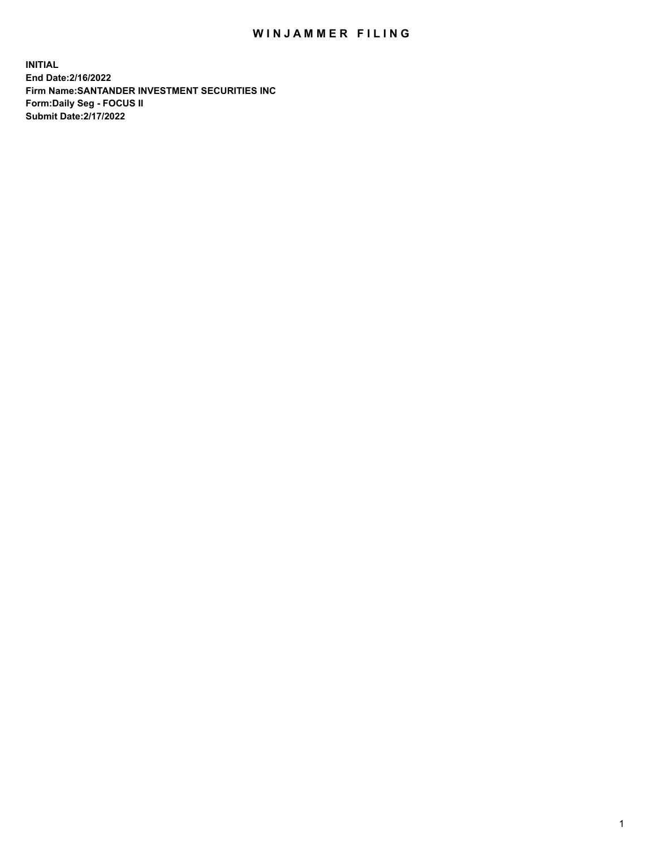## WIN JAMMER FILING

**INITIAL End Date:2/16/2022 Firm Name:SANTANDER INVESTMENT SECURITIES INC Form:Daily Seg - FOCUS II Submit Date:2/17/2022**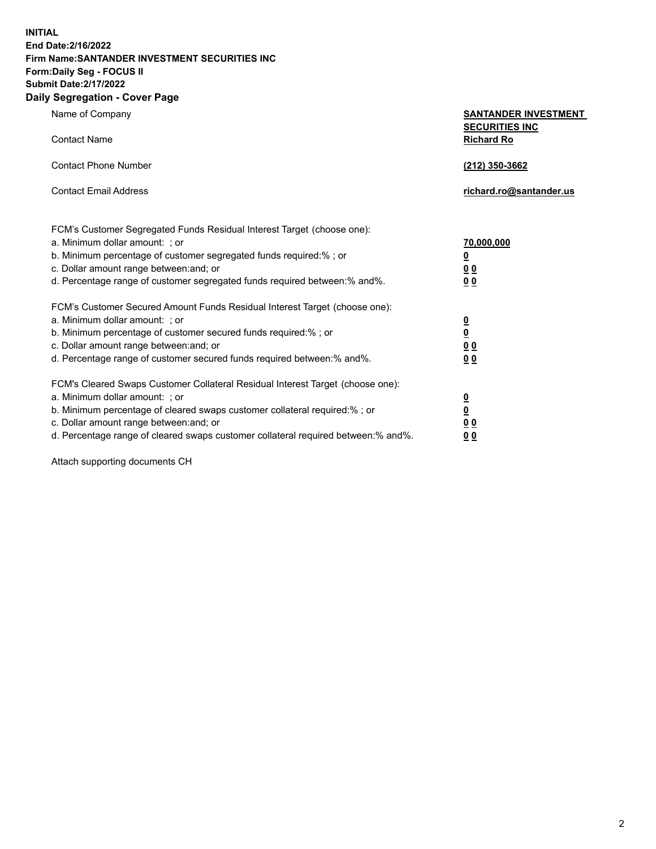**INITIAL End Date:2/16/2022 Firm Name:SANTANDER INVESTMENT SECURITIES INC Form:Daily Seg - FOCUS II Submit Date:2/17/2022 Daily Segregation - Cover Page**

Name of Company **SANTANDER INVESTMENT SECURITIES INC** Contact Name **Richard Ro** Contact Phone Number **(212) 350-3662** Contact Email Address **richard.ro@santander.us** FCM's Customer Segregated Funds Residual Interest Target (choose one): a. Minimum dollar amount: ; or **70,000,000** b. Minimum percentage of customer segregated funds required:% ; or **0** c. Dollar amount range between:and; or **0 0** d. Percentage range of customer segregated funds required between:% and%. **0 0** FCM's Customer Secured Amount Funds Residual Interest Target (choose one): a. Minimum dollar amount: ; or **0** b. Minimum percentage of customer secured funds required:% ; or **0** c. Dollar amount range between:and; or **0 0** d. Percentage range of customer secured funds required between:% and%. **0 0** FCM's Cleared Swaps Customer Collateral Residual Interest Target (choose one): a. Minimum dollar amount: ; or **0** b. Minimum percentage of cleared swaps customer collateral required:% ; or **0**

c. Dollar amount range between:and; or **0 0** d. Percentage range of cleared swaps customer collateral required between:% and%. **0 0**

Attach supporting documents CH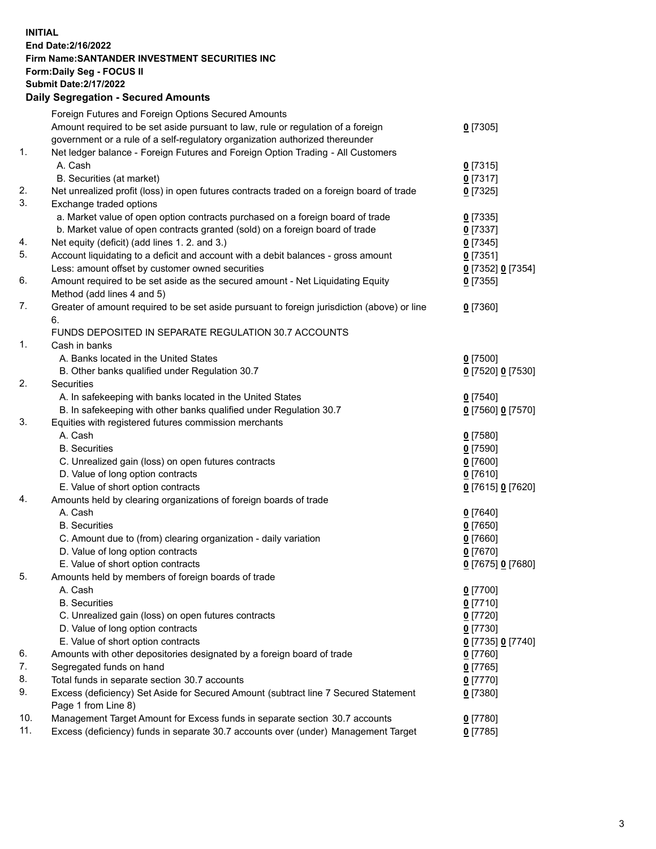## **INITIAL End Date:2/16/2022 Firm Name:SANTANDER INVESTMENT SECURITIES INC Form:Daily Seg - FOCUS II Submit Date:2/17/2022 Daily Segregation - Secured Amounts**

|     | Foreign Futures and Foreign Options Secured Amounts                                         |                   |
|-----|---------------------------------------------------------------------------------------------|-------------------|
|     | Amount required to be set aside pursuant to law, rule or regulation of a foreign            | $0$ [7305]        |
|     | government or a rule of a self-regulatory organization authorized thereunder                |                   |
| 1.  | Net ledger balance - Foreign Futures and Foreign Option Trading - All Customers             |                   |
|     | A. Cash                                                                                     | $0$ [7315]        |
|     | B. Securities (at market)                                                                   | $0$ [7317]        |
| 2.  | Net unrealized profit (loss) in open futures contracts traded on a foreign board of trade   | $0$ [7325]        |
| 3.  | Exchange traded options                                                                     |                   |
|     | a. Market value of open option contracts purchased on a foreign board of trade              | $0$ [7335]        |
|     | b. Market value of open contracts granted (sold) on a foreign board of trade                | $0$ [7337]        |
| 4.  | Net equity (deficit) (add lines 1. 2. and 3.)                                               | $0$ [7345]        |
| 5.  | Account liquidating to a deficit and account with a debit balances - gross amount           | $0$ [7351]        |
|     | Less: amount offset by customer owned securities                                            | 0 [7352] 0 [7354] |
| 6.  | Amount required to be set aside as the secured amount - Net Liquidating Equity              | $0$ [7355]        |
|     | Method (add lines 4 and 5)                                                                  |                   |
| 7.  | Greater of amount required to be set aside pursuant to foreign jurisdiction (above) or line | $0$ [7360]        |
|     | 6.                                                                                          |                   |
|     | FUNDS DEPOSITED IN SEPARATE REGULATION 30.7 ACCOUNTS                                        |                   |
| 1.  | Cash in banks                                                                               |                   |
|     | A. Banks located in the United States                                                       | $0$ [7500]        |
|     | B. Other banks qualified under Regulation 30.7                                              | 0 [7520] 0 [7530] |
| 2.  | <b>Securities</b>                                                                           |                   |
|     | A. In safekeeping with banks located in the United States                                   | $0$ [7540]        |
|     | B. In safekeeping with other banks qualified under Regulation 30.7                          | 0 [7560] 0 [7570] |
| 3.  | Equities with registered futures commission merchants                                       |                   |
|     | A. Cash                                                                                     | $0$ [7580]        |
|     | <b>B.</b> Securities                                                                        | $0$ [7590]        |
|     | C. Unrealized gain (loss) on open futures contracts                                         | $0$ [7600]        |
|     | D. Value of long option contracts                                                           | $0$ [7610]        |
|     | E. Value of short option contracts                                                          | 0 [7615] 0 [7620] |
| 4.  | Amounts held by clearing organizations of foreign boards of trade                           |                   |
|     | A. Cash                                                                                     | $0$ [7640]        |
|     | <b>B.</b> Securities                                                                        | $0$ [7650]        |
|     | C. Amount due to (from) clearing organization - daily variation                             | $0$ [7660]        |
|     | D. Value of long option contracts                                                           | $0$ [7670]        |
|     | E. Value of short option contracts                                                          | 0 [7675] 0 [7680] |
| 5.  | Amounts held by members of foreign boards of trade                                          |                   |
|     | A. Cash                                                                                     | $0$ [7700]        |
|     | <b>B.</b> Securities                                                                        | $0$ [7710]        |
|     | C. Unrealized gain (loss) on open futures contracts                                         | $0$ [7720]        |
|     | D. Value of long option contracts                                                           | $0$ [7730]        |
|     | E. Value of short option contracts                                                          | 0 [7735] 0 [7740] |
| 6.  | Amounts with other depositories designated by a foreign board of trade                      | $0$ [7760]        |
| 7.  | Segregated funds on hand                                                                    | $0$ [7765]        |
| 8.  | Total funds in separate section 30.7 accounts                                               | $0$ [7770]        |
| 9.  | Excess (deficiency) Set Aside for Secured Amount (subtract line 7 Secured Statement         | $0$ [7380]        |
|     | Page 1 from Line 8)                                                                         |                   |
| 10. | Management Target Amount for Excess funds in separate section 30.7 accounts                 | $0$ [7780]        |
| 11. | Excess (deficiency) funds in separate 30.7 accounts over (under) Management Target          | $0$ [7785]        |
|     |                                                                                             |                   |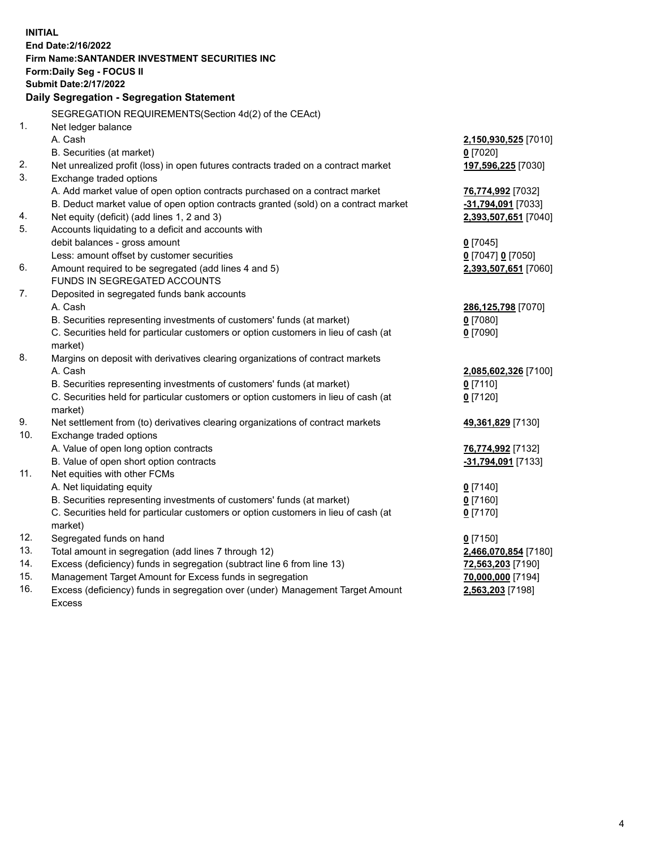| <b>INITIAL</b> |                                                                                     |                      |  |  |  |
|----------------|-------------------------------------------------------------------------------------|----------------------|--|--|--|
|                | End Date: 2/16/2022                                                                 |                      |  |  |  |
|                | <b>Firm Name: SANTANDER INVESTMENT SECURITIES INC</b>                               |                      |  |  |  |
|                | Form: Daily Seg - FOCUS II                                                          |                      |  |  |  |
|                | <b>Submit Date: 2/17/2022</b>                                                       |                      |  |  |  |
|                | Daily Segregation - Segregation Statement                                           |                      |  |  |  |
|                | SEGREGATION REQUIREMENTS(Section 4d(2) of the CEAct)                                |                      |  |  |  |
| 1.             | Net ledger balance                                                                  |                      |  |  |  |
|                | A. Cash                                                                             | 2,150,930,525 [7010] |  |  |  |
|                | B. Securities (at market)                                                           | $0$ [7020]           |  |  |  |
| 2.             | Net unrealized profit (loss) in open futures contracts traded on a contract market  | 197,596,225 [7030]   |  |  |  |
| 3.             | Exchange traded options                                                             |                      |  |  |  |
|                | A. Add market value of open option contracts purchased on a contract market         | 76,774,992 [7032]    |  |  |  |
|                | B. Deduct market value of open option contracts granted (sold) on a contract market | -31,794,091 [7033]   |  |  |  |
| 4.             | Net equity (deficit) (add lines 1, 2 and 3)                                         | 2,393,507,651 [7040] |  |  |  |
| 5.             | Accounts liquidating to a deficit and accounts with                                 |                      |  |  |  |
|                | debit balances - gross amount                                                       | $0$ [7045]           |  |  |  |
|                | Less: amount offset by customer securities                                          | 0 [7047] 0 [7050]    |  |  |  |
| 6.             | Amount required to be segregated (add lines 4 and 5)                                | 2,393,507,651 [7060] |  |  |  |
|                | FUNDS IN SEGREGATED ACCOUNTS                                                        |                      |  |  |  |
| 7.             | Deposited in segregated funds bank accounts                                         |                      |  |  |  |
|                | A. Cash                                                                             | 286,125,798 [7070]   |  |  |  |
|                | B. Securities representing investments of customers' funds (at market)              | $0$ [7080]           |  |  |  |
|                | C. Securities held for particular customers or option customers in lieu of cash (at | $0$ [7090]           |  |  |  |
|                | market)                                                                             |                      |  |  |  |
| 8.             | Margins on deposit with derivatives clearing organizations of contract markets      |                      |  |  |  |
|                | A. Cash                                                                             | 2,085,602,326 [7100] |  |  |  |
|                | B. Securities representing investments of customers' funds (at market)              | $0$ [7110]           |  |  |  |
|                | C. Securities held for particular customers or option customers in lieu of cash (at | $0$ [7120]           |  |  |  |
|                | market)                                                                             |                      |  |  |  |
| 9.             | Net settlement from (to) derivatives clearing organizations of contract markets     | 49,361,829 [7130]    |  |  |  |
| 10.            | Exchange traded options                                                             |                      |  |  |  |
|                | A. Value of open long option contracts                                              | 76,774,992 [7132]    |  |  |  |
|                | B. Value of open short option contracts                                             | -31,794,091 [7133]   |  |  |  |
| 11.            | Net equities with other FCMs                                                        |                      |  |  |  |
|                | A. Net liquidating equity                                                           | $0$ [7140]           |  |  |  |
|                | B. Securities representing investments of customers' funds (at market)              | $0$ [7160]           |  |  |  |
|                | C. Securities held for particular customers or option customers in lieu of cash (at | $0$ [7170]           |  |  |  |
|                | market)                                                                             |                      |  |  |  |
| 12.            | Segregated funds on hand                                                            | $0$ [7150]           |  |  |  |
| 13.            | Total amount in segregation (add lines 7 through 12)                                | 2,466,070,854 [7180] |  |  |  |
| 14.            | Excess (deficiency) funds in segregation (subtract line 6 from line 13)             | 72,563,203 [7190]    |  |  |  |
| 15.            | Management Target Amount for Excess funds in segregation                            | 70,000,000 [7194]    |  |  |  |
| 16.            | Excess (deficiency) funds in segregation over (under) Management Target Amount      | 2,563,203 [7198]     |  |  |  |
|                | <b>Excess</b>                                                                       |                      |  |  |  |